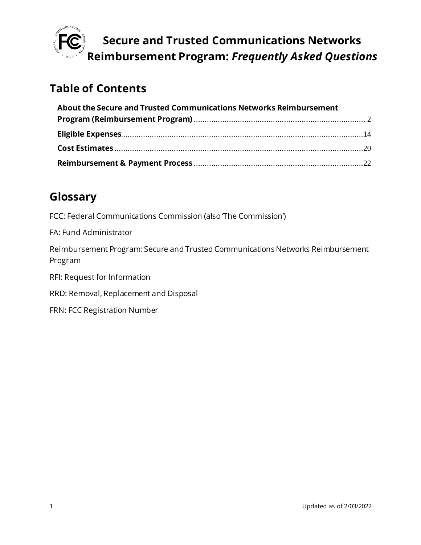

## **Table of Contents**

| About the Secure and Trusted Communications Networks Reimbursement |  |
|--------------------------------------------------------------------|--|
|                                                                    |  |
|                                                                    |  |
|                                                                    |  |
|                                                                    |  |

## **Glossary**

FCC: Federal Communications Commission (also The Commission')

FA: Fund Administrator

Reimbursement Program: Secure and Trusted Communications Networks Reimbursement Program

RFI: Request for Information

RRD: Removal, Replacement and Disposal

FRN: FCC Registration Number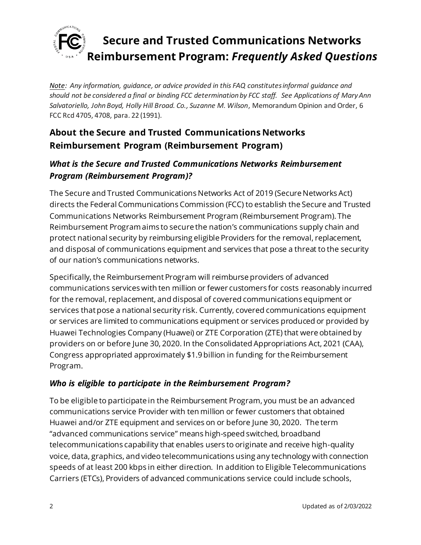

*Note: Any information, guidance, or advice provided in this FAQ constitutes informal guidance and should not be considered a final or binding FCC determination by FCC staff. See Applications of Mary Ann Salvatoriello, John Boyd, Holly Hill Broad. Co., Suzanne M. Wilson*, Memorandum Opinion and Order, 6 FCC Rcd 4705, 4708, para. 22 (1991).

## <span id="page-1-0"></span>**About the Secure and Trusted Communications Networks Reimbursement Program (Reimbursement Program)**

### *What is the Secure and Trusted Communications Networks Reimbursement Program (Reimbursement Program)?*

The Secure and Trusted Communications Networks Act of 2019 (Secure Networks Act) directs the Federal Communications Commission (FCC) to establish the Secure and Trusted Communications Networks Reimbursement Program (Reimbursement Program). The Reimbursement Program aims to secure the nation's communications supply chain and protect national security by reimbursing eligible Providers for the removal, replacement, and disposal of communications equipment and services that pose a threat to the security of our nation's communications networks.

Specifically, the Reimbursement Program will reimburse providers of advanced communications services with ten million or fewer customers for costs reasonably incurred for the removal, replacement, and disposal of covered communications equipment or services that pose a national security risk. Currently, covered communications equipment or services are limited to communications equipment or services produced or provided by Huawei Technologies Company (Huawei) or ZTE Corporation (ZTE) that were obtained by providers on or before June 30, 2020. In the Consolidated Appropriations Act, 2021 (CAA), Congress appropriated approximately \$1.9 billion in funding for the Reimbursement Program.

### *Who is eligible to participate in the Reimbursement Program?*

To be eligible to participate in the Reimbursement Program, you must be an advanced communications service Provider with ten million or fewer customers that obtained Huawei and/or ZTE equipment and services on or before June 30, 2020. The term "advanced communications service" means high-speed switched, broadband telecommunications capability that enables users to originate and receive high-quality voice, data, graphics, and video telecommunications using any technology with connection speeds of at least 200 kbps in either direction. In addition to Eligible Telecommunications Carriers (ETCs), Providers of advanced communications service could include schools,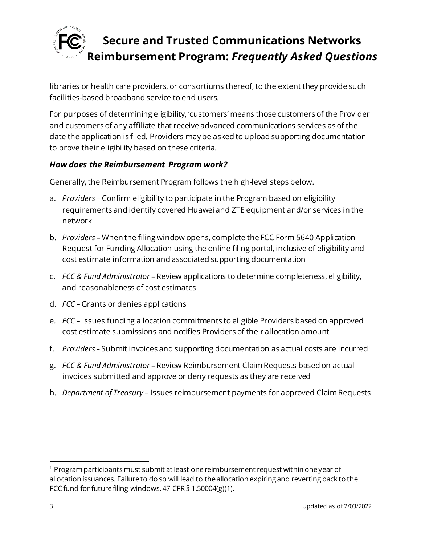

libraries or health care providers, or consortiums thereof, to the extent they provide such facilities-based broadband service to end users.

For purposes of determining eligibility, 'customers' means those customers of the Provider and customers of any affiliate that receive advanced communications services as of the date the application is filed. Providers may be asked to upload supporting documentation to prove their eligibility based on these criteria.

#### *How does the Reimbursement Program work?*

Generally, the Reimbursement Program follows the high-level steps below.

- a. *Providers* Confirm eligibility to participate in the Program based on eligibility requirements and identify covered Huawei and ZTE equipment and/or services in the network
- b. *Providers*  When the filing window opens, complete the FCC Form 5640 Application Request for Funding Allocation using the online filing portal, inclusive of eligibility and cost estimate information and associated supporting documentation
- c. *FCC & Fund Administrator* Review applications to determine completeness, eligibility, and reasonableness of cost estimates
- d. *FCC* Grants or denies applications
- e. *FCC* Issues funding allocation commitments to eligible Providers based on approved cost estimate submissions and notifies Providers of their allocation amount
- f. *Providers* Submit invoices and supporting documentation as actual costs are incurred<sup>1</sup>
- g. *FCC & Fund Administrator* Review Reimbursement ClaimRequests based on actual invoices submitted and approve or deny requests as they are received
- h. *Department of Treasury* Issues reimbursement payments for approved ClaimRequests

 $1$  Program participants must submit at least one reimbursement request within one year of allocation issuances. Failure to do so will lead to the allocation expiring and reverting back to the FCC fund for future filing windows. 47 CFR § 1.50004(g)(1).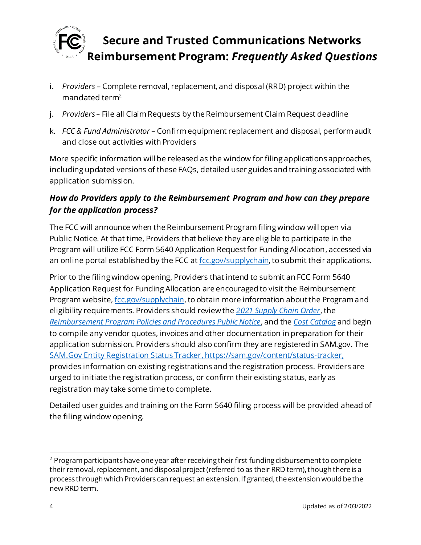

- i. *Providers –* Complete removal, replacement, and disposal (RRD) project within the mandated term<sup>2</sup>
- j. *Providers* File all Claim Requests by the Reimbursement Claim Request deadline
- k. *FCC & Fund Administrator* Confirm equipment replacement and disposal, perform audit and close out activities with Providers

More specific information will be released as the window for filing applications approaches, including updated versions of these FAQs, detailed user guides and training associated with application submission.

### *How do Providers apply to the Reimbursement Program and how can they prepare for the application process?*

The FCC will announce when the Reimbursement Program filing window will open via Public Notice. At that time, Providers that believe they are eligible to participate in the Program will utilize FCC Form 5640 Application Request for Funding Allocation, accessed via an online portal established by the FCC a[t fcc.gov/supplychain,](https://www.fcc.gov/supplychain) to submit their applications.

Prior to the filing window opening, Providers that intend to submit an FCC Form 5640 Application Request for Funding Allocation are encouraged to visit the Reimbursement Program website[, fcc.gov/supplychain](https://www.fcc.gov/supplychain), to obtain more information about the Program and eligibility requirements. Providers should review the *[2021 Supply Chain Order](https://www.fcc.gov/document/fcc-acts-protect-national-security-communications-supply-chain-0)*, the *[Reimbursement Program Policies and Procedures Public Notice](https://www.fcc.gov/document/fcc-announces-final-supply-chain-reimbursement-program-procedures)*, and the *[Cost Catalog](https://docs.fcc.gov/public/attachments/DA-21-947A4.pdf)* and begin to compile any vendor quotes, invoices and other documentation in preparation for their application submission. Providers should also confirm they are registered in SAM.gov. The [SAM.Gov Entity Registration Status Tracker](https://sam.gov/content/status-tracker), https://sam.gov/content/status-tracker, provides information on existing registrations and the registration process. Providers are urged to initiate the registration process, or confirm their existing status, early as registration may take some time to complete.

Detailed user guides and training on the Form 5640 filing process will be provided ahead of the filing window opening.

 $2$  Program participants have one year after receiving their first funding disbursement to complete their removal, replacement, and disposal project (referred to as their RRD term), though there is a process through which Providers can request an extension. If granted, the extension would be the new RRD term.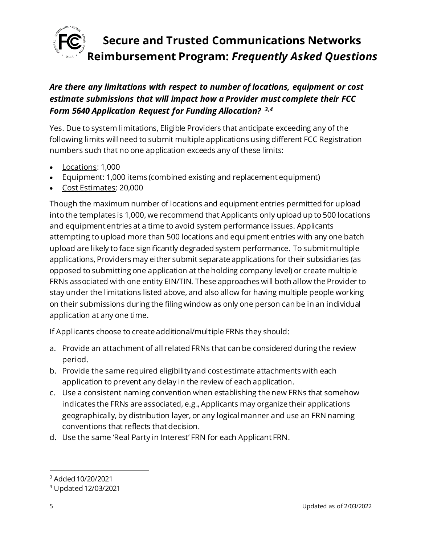

### *Are there any limitations with respect to number of locations, equipment or cost estimate submissions that will impact how a Provider must complete their FCC Form 5640 Application Request for Funding Allocation? 3,4*

Yes. Due to system limitations, Eligible Providers that anticipate exceeding any of the following limits will need to submit multiple applications using different FCC Registration numbers such that no one application exceeds any of these limits:

- Locations: 1,000
- Equipment: 1,000 items (combined existing and replacement equipment)
- Cost Estimates: 20,000

Though the maximum number of locations and equipment entries permitted for upload into the templates is 1,000, we recommend that Applicants only upload up to 500 locations and equipment entries at a time to avoid system performance issues. Applicants attempting to upload more than 500 locations and equipment entries with any one batch upload are likely to face significantly degraded system performance. To submit multiple applications, Providers may either submit separate applications for their subsidiaries (as opposed to submitting one application at the holding company level) or create multiple FRNs associated with one entity EIN/TIN. These approaches will both allow the Provider to stay under the limitations listed above, and also allow for having multiple people working on their submissions during the filing window as only one person can be in an individual application at any one time.

If Applicants choose to create additional/multiple FRNs they should:

- a. Provide an attachment of all related FRNs that can be considered during the review period.
- b. Provide the same required eligibility and cost estimate attachments with each application to prevent any delay in the review of each application.
- c. Use a consistent naming convention when establishing the new FRNs that somehow indicates the FRNs are associated, e.g., Applicants may organize their applications geographically, by distribution layer, or any logical manner and use an FRN naming conventions that reflects that decision.
- d. Use the same 'Real Party in Interest' FRN for each Applicant FRN.

<sup>3</sup> Added 10/20/2021

<sup>4</sup> Updated 12/03/2021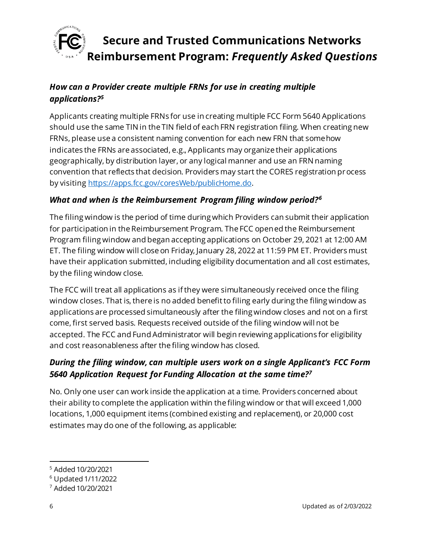

## *How can a Provider create multiple FRNs for use in creating multiple applications?<sup>5</sup>*

Applicants creating multiple FRNs for use in creating multiple FCC Form 5640 Applications should use the same TIN in the TIN field of each FRN registration filing. When creating new FRNs, please use a consistent naming convention for each new FRN that somehow indicates the FRNs are associated, e.g., Applicants may organize their applications geographically, by distribution layer, or any logical manner and use an FRN naming convention that reflects that decision. Providers may start the CORES registration process by visitin[g https://apps.fcc.gov/coresWeb/publicHome.do](https://apps.fcc.gov/coresWeb/publicHome.do).

#### *What and when is the Reimbursement Program filing window period?<sup>6</sup>*

The filing window is the period of time during which Providers can submit their application for participation in the Reimbursement Program. The FCC opened the Reimbursement Program filing window and began accepting applications on October 29, 2021 at 12:00 AM ET. The filing window will close on Friday, January 28, 2022 at 11:59 PM ET. Providers must have their application submitted, including eligibility documentation and all cost estimates, by the filing window close.

The FCC will treat all applications as if they were simultaneously received once the filing window closes. That is, there is no added benefit to filing early during the filing window as applications are processed simultaneously after the filing window closes and not on a first come, first served basis. Requests received outside of the filing window will not be accepted. The FCC and Fund Administrator will begin reviewing applications for eligibility and cost reasonableness after the filing window has closed.

### *During the filing window, can multiple users work on a single Applicant's FCC Form 5640 Application Request for Funding Allocation at the same time?<sup>7</sup>*

No. Only one user can work inside the application at a time. Providers concerned about their ability to complete the application within the filing window or that will exceed 1,000 locations, 1,000 equipment items (combined existing and replacement), or 20,000 cost estimates may do one of the following, as applicable:

<sup>5</sup> Added 10/20/2021

<sup>6</sup> Updated 1/11/2022

<sup>7</sup> Added 10/20/2021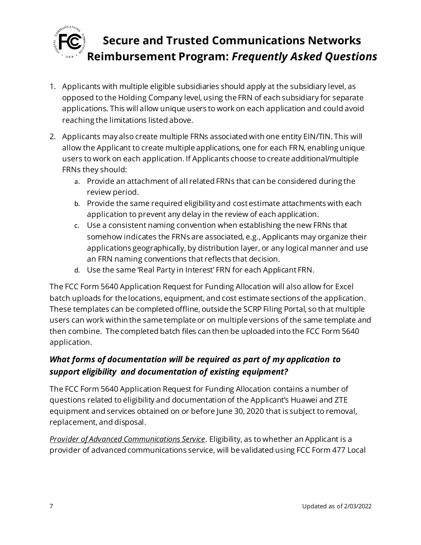

- 1. Applicants with multiple eligible subsidiaries should apply at the subsidiary level, as opposed to the Holding Company level, using the FRN of each subsidiary for separate applications. This will allow unique users to work on each application and could avoid reaching the limitations listed above.
- 2. Applicants may also create multiple FRNs associated with one entity EIN/TIN. This will allow the Applicant to create multiple applications, one for each FRN, enabling unique users to work on each application. If Applicants choose to create additional/multiple FRNs they should:
	- a. Provide an attachment of all related FRNs that can be considered during the review period.
	- b. Provide the same required eligibility and cost estimate attachments with each application to prevent any delay in the review of each application.
	- c. Use a consistent naming convention when establishing the new FRNs that somehow indicates the FRNs are associated, e.g., Applicants may organize their applications geographically, by distribution layer, or any logical manner and use an FRN naming conventions that reflects that decision.
	- d. Use the same 'Real Party in Interest' FRN for each Applicant FRN.

The FCC Form 5640 Application Request for Funding Allocation will also allow for Excel batch uploads for the locations, equipment, and cost estimate sections of the application. These templates can be completed offline, outside the SCRP Filing Portal, so that multiple users can work within the same template or on multiple versions of the same template and then combine. The completed batch files can then be uploaded into the FCC Form 5640 application.

### *What forms of documentation will be required as part of my application to support eligibility and documentation of existing equipment?*

The FCC Form 5640 Application Request for Funding Allocation contains a number of questions related to eligibility and documentation of the Applicant's Huawei and ZTE equipment and services obtained on or before June 30, 2020 that is subject to removal, replacement, and disposal.

*Provider of Advanced Communications Service*. Eligibility, as to whether an Applicant is a provider of advanced communications service, will be validated using FCC Form 477 Local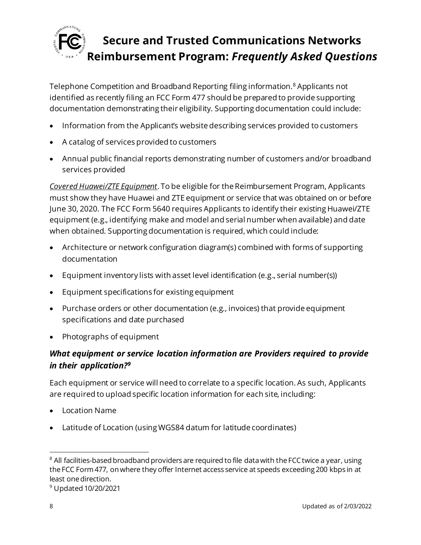

Telephone Competition and Broadband Reporting filing information.<sup>8</sup> Applicants not identified as recently filing an FCC Form 477 should be prepared to provide supporting documentation demonstrating their eligibility. Supporting documentation could include:

- Information from the Applicant's website describing services provided to customers
- A catalog of services provided to customers
- Annual public financial reports demonstrating number of customers and/or broadband services provided

*Covered Huawei/ZTE Equipment*. To be eligible for the Reimbursement Program, Applicants must show they have Huawei and ZTE equipment or service that was obtained on or before June 30, 2020. The FCC Form 5640 requires Applicants to identify their existing Huawei/ZTE equipment (e.g., identifying make and model and serial number when available) and date when obtained. Supporting documentation is required, which could include:

- Architecture or network configuration diagram(s) combined with forms of supporting documentation
- Equipment inventory lists with asset level identification (e.g., serial number(s))
- Equipment specifications for existing equipment
- Purchase orders or other documentation (e.g., invoices) that provide equipment specifications and date purchased
- Photographs of equipment

### *What equipment or service location information are Providers required to provide in their application?<sup>9</sup>*

Each equipment or service will need to correlate to a specific location. As such, Applicants are required to upload specific location information for each site, including:

- Location Name
- Latitude of Location (using WGS84 datum for latitude coordinates)

<sup>&</sup>lt;sup>8</sup> All facilities-based broadband providers are required to file data with the FCC twice a year, using the FCC Form 477, on where they offer Internet access service at speeds exceeding 200 kbps in at least one direction.

<sup>9</sup> Updated 10/20/2021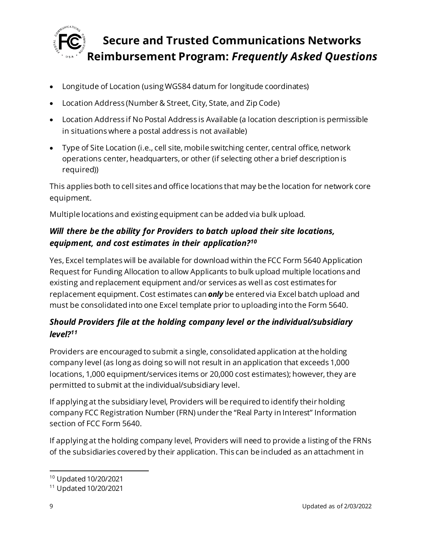

- Longitude of Location (using WGS84 datum for longitude coordinates)
- Location Address (Number & Street, City, State, and Zip Code)
- Location Address if No Postal Address is Available (a location description is permissible in situations where a postal address is not available)
- Type of Site Location (i.e., cell site, mobile switching center, central office, network operations center, headquarters, or other (if selecting other a brief description is required))

This applies both to cell sites and office locations that may be the location for network core equipment.

Multiple locations and existing equipment can be added via bulk upload.

## *Will there be the ability for Providers to batch upload their site locations, equipment, and cost estimates in their application?<sup>10</sup>*

Yes, Excel templates will be available for download within the FCC Form 5640 Application Request for Funding Allocation to allow Applicants to bulk upload multiple locations and existing and replacement equipment and/or services as well as cost estimates for replacement equipment. Cost estimates can *only* be entered via Excel batch upload and must be consolidated into one Excel template prior to uploading into the Form 5640.

## *Should Providers file at the holding company level or the individual/subsidiary level?<sup>11</sup>*

Providers are encouraged to submit a single, consolidated application at the holding company level (as long as doing so will not result in an application that exceeds 1,000 locations, 1,000 equipment/services items or 20,000 cost estimates); however, they are permitted to submit at the individual/subsidiary level.

If applying at the subsidiary level, Providers will be required to identify their holding company FCC Registration Number (FRN) under the "Real Party in Interest" Information section of FCC Form 5640.

If applying at the holding company level, Providers will need to provide a listing of the FRNs of the subsidiaries covered by their application. This can be included as an attachment in

<sup>10</sup> Updated 10/20/2021

<sup>11</sup> Updated 10/20/2021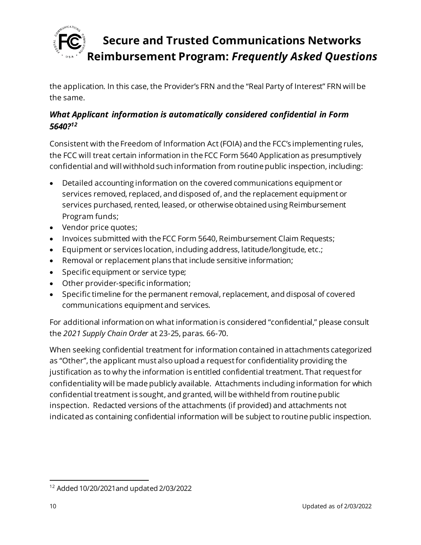

the application. In this case, the Provider's FRN and the "Real Party of Interest" FRN will be the same.

### *What Applicant information is automatically considered confidential in Form 5640?<sup>12</sup>*

Consistent with the Freedom of Information Act (FOIA) and the FCC's implementing rules, the FCC will treat certain information in the FCC Form 5640 Application as presumptively confidential and will withhold such information from routine public inspection, including:

- Detailed accounting information on the covered communications equipment or services removed, replaced, and disposed of, and the replacement equipment or services purchased, rented, leased, or otherwise obtained using Reimbursement Program funds;
- Vendor price quotes;
- Invoices submitted with the FCC Form 5640, Reimbursement Claim Requests;
- Equipment or services location, including address, latitude/longitude, etc.;
- Removal or replacement plans that include sensitive information;
- Specific equipment or service type;
- Other provider-specific information;
- Specific timeline for the permanent removal, replacement, and disposal of covered communications equipment and services.

For additional information on what information is considered "confidential," please consult the *2021 Supply Chain Order* at 23-25, paras. 66-70.

When seeking confidential treatment for information contained in attachments categorized as "Other", the applicant must also upload a request for confidentiality providing the justification as to why the information is entitled confidential treatment. That request for confidentiality will be made publicly available. Attachments including information for which confidential treatment is sought, and granted, will be withheld from routine public inspection. Redacted versions of the attachments (if provided) and attachments not indicated as containing confidential information will be subject to routine public inspection.

<sup>12</sup> Added 10/20/2021and updated 2/03/2022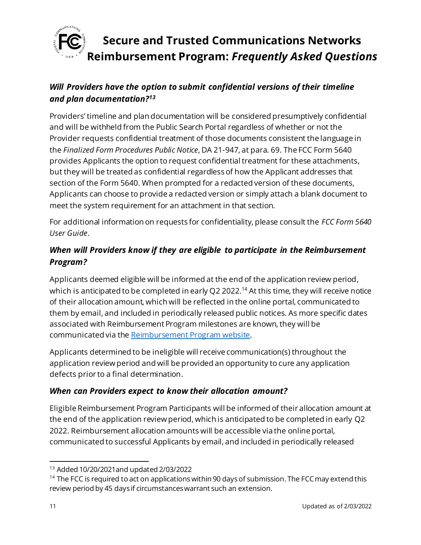

### *Will Providers have the option to submit confidential versions of their timeline and plan documentation?<sup>13</sup>*

Providers' timeline and plan documentation will be considered presumptively confidential and will be withheld from the Public Search Portal regardless of whether or not the Provider requests confidential treatment of those documents consistent the language in the *Finalized Form Procedures Public Notice*, DA 21-947, at para. 69. The FCC Form 5640 provides Applicants the option to request confidential treatment for these attachments, but they will be treated as confidential regardless of how the Applicant addresses that section of the Form 5640. When prompted for a redacted version of these documents, Applicants can choose to provide a redacted version or simply attach a blank document to meet the system requirement for an attachment in that section.

For additional information on requests for confidentiality, please consult the *FCC Form 5640 User Guide*.

## *When will Providers know if they are eligible to participate in the Reimbursement Program?*

Applicants deemed eligible will be informed at the end of the application review period, which is anticipated to be completed in early Q2 2022.<sup>14</sup> At this time, they will receive notice of their allocation amount, which will be reflected in the online portal, communicated to them by email, and included in periodically released public notices. As more specific dates associated with Reimbursement Program milestones are known, they will be communicated via th[e Reimbursement Program website](https://www.fcc.gov/supplychain).

Applicants determined to be ineligible will receive communication(s) throughout the application review period and will be provided an opportunity to cure any application defects prior to a final determination.

#### *When can Providers expect to know their allocation amount?*

Eligible Reimbursement Program Participants will be informed of their allocation amount at the end of the application review period, which is anticipated to be completed in early Q2 2022. Reimbursement allocation amounts will be accessible via the online portal, communicated to successful Applicants by email, and included in periodically released

<sup>13</sup> Added 10/20/2021and updated 2/03/2022

<sup>&</sup>lt;sup>14</sup> The FCC is required to act on applications within 90 days of submission. The FCC may extend this review period by 45 days if circumstances warrant such an extension.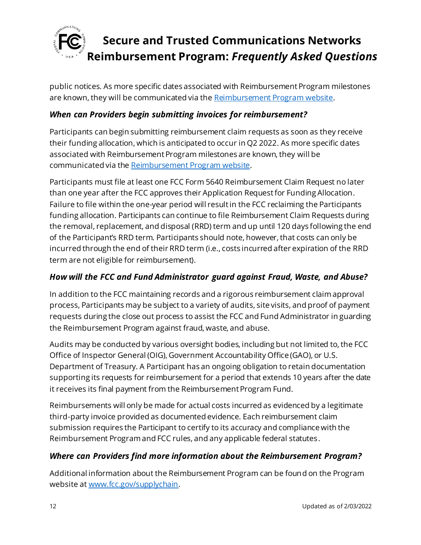

public notices. As more specific dates associated with Reimbursement Program milestones are known, they will be communicated via th[e Reimbursement Program website](https://www.fcc.gov/supplychain).

#### *When can Providers begin submitting invoices for reimbursement?*

Participants can begin submitting reimbursement claim requests as soon as they receive their funding allocation, which is anticipated to occur in Q2 2022. As more specific dates associated with Reimbursement Program milestones are known, they will be communicated via th[e Reimbursement Program website](https://www.fcc.gov/supplychain).

Participants must file at least one FCC Form 5640 Reimbursement Claim Request no later than one year after the FCC approves their Application Request for Funding Allocation. Failure to file within the one-year period will result in the FCC reclaiming the Participants funding allocation. Participants can continue to file Reimbursement Claim Requests during the removal, replacement, and disposal (RRD) term and up until 120 days following the end of the Participant's RRD term. Participants should note, however, that costs can only be incurred through the end of their RRD term (i.e., costs incurred after expiration of the RRD term are not eligible for reimbursement).

#### *How will the FCC and Fund Administrator guard against Fraud, Waste, and Abuse?*

In addition to the FCC maintaining records and a rigorous reimbursement claim approval process, Participants may be subject to a variety of audits, site visits, and proof of payment requests during the close out process to assist the FCC and Fund Administrator in guarding the Reimbursement Program against fraud, waste, and abuse.

Audits may be conducted by various oversight bodies, including but not limited to, the FCC Office of Inspector General (OIG), Government Accountability Office (GAO), or U.S. Department of Treasury. A Participant has an ongoing obligation to retain documentation supporting its requests for reimbursement for a period that extends 10 years after the date it receives its final payment from the Reimbursement Program Fund.

Reimbursements will only be made for actual costs incurred as evidenced by a legitimate third-party invoice provided as documented evidence. Each reimbursement claim submission requires the Participant to certify to its accuracy and compliance with the Reimbursement Program and FCC rules, and any applicable federal statutes.

#### *Where can Providers find more information about the Reimbursement Program?*

Additional information about the Reimbursement Program can be found on the Program website a[t www.fcc.gov/supplychain](http://www.fcc.gov/supplychain).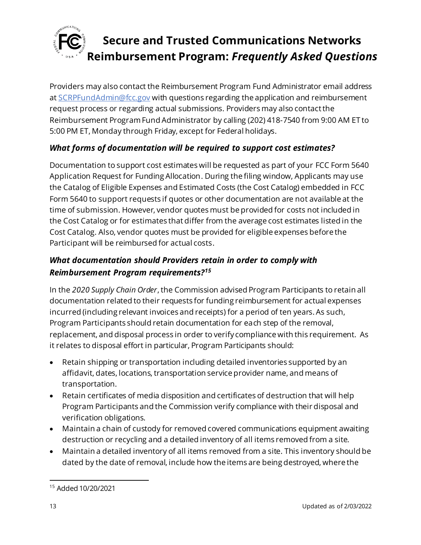

Providers may also contact the Reimbursement Program Fund Administrator email address at [SCRPFundAdmin@fcc.gov](mailto:SCRPFundAdmin@fcc.gov) with questions regarding the application and reimbursement request process or regarding actual submissions. Providers may also contact the Reimbursement Program Fund Administrator by calling (202) 418-7540 from 9:00 AM ET to 5:00 PM ET, Monday through Friday, except for Federal holidays.

### *What forms of documentation will be required to support cost estimates?*

Documentation to support cost estimates will be requested as part of your FCC Form 5640 Application Request for Funding Allocation. During the filing window, Applicants may use the Catalog of Eligible Expenses and Estimated Costs (the Cost Catalog) embedded in FCC Form 5640 to support requests if quotes or other documentation are not available at the time of submission. However, vendor quotes must be provided for costs not included in the Cost Catalog or for estimates that differ from the average cost estimates listed in the Cost Catalog. Also, vendor quotes must be provided for eligible expenses before the Participant will be reimbursed for actual costs.

### *What documentation should Providers retain in order to comply with Reimbursement Program requirements?<sup>15</sup>*

In the *2020 Supply Chain Order*, the Commission advised Program Participants to retain all documentation related to their requests for funding reimbursement for actual expenses incurred (including relevant invoices and receipts) for a period of ten years. As such, Program Participants should retain documentation for each step of the removal, replacement, and disposal process in order to verify compliance with this requirement. As it relates to disposal effort in particular, Program Participants should:

- Retain shipping or transportation including detailed inventories supported by an affidavit, dates, locations, transportation service provider name, and means of transportation.
- Retain certificates of media disposition and certificates of destruction that will help Program Participants and the Commission verify compliance with their disposal and verification obligations.
- Maintain a chain of custody for removed covered communications equipment awaiting destruction or recycling and a detailed inventory of all items removed from a site.
- Maintain a detailed inventory of all items removed from a site. This inventory should be dated by the date of removal, include how the items are being destroyed, where the

<sup>15</sup> Added 10/20/2021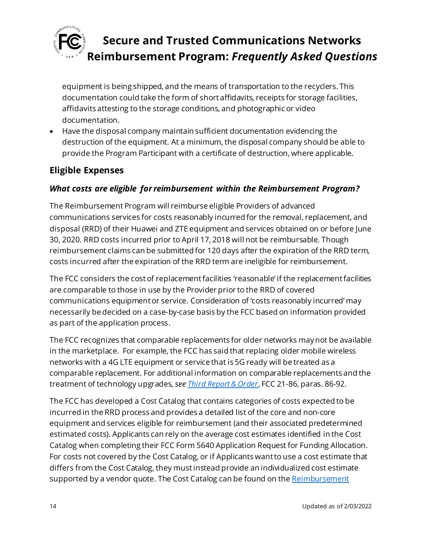

equipment is being shipped, and the means of transportation to the recyclers. This documentation could take the form of short affidavits, receipts for storage facilities, affidavits attesting to the storage conditions, and photographic or video documentation.

• Have the disposal company maintain sufficient documentation evidencing the destruction of the equipment. At a minimum, the disposal company should be able to provide the Program Participant with a certificate of destruction, where applicable.

## <span id="page-13-0"></span>**Eligible Expenses**

#### *What costs are eligible for reimbursement within the Reimbursement Program?*

The Reimbursement Program will reimburse eligible Providers of advanced communications services for costs reasonably incurred for the removal, replacement, and disposal (RRD) of their Huawei and ZTE equipment and services obtained on or before June 30, 2020. RRD costs incurred prior to April 17, 2018 will not be reimbursable. Though reimbursement claims can be submitted for 120 days after the expiration of the RRD term, costs incurred after the expiration of the RRD term are ineligible for reimbursement.

The FCC considers the cost of replacement facilities 'reasonable' if the replacement facilities are comparable to those in use by the Provider prior to the RRD of covered communications equipment or service. Consideration of 'costs reasonably incurred' may necessarily be decided on a case-by-case basis by the FCC based on information provided as part of the application process.

The FCC recognizes that comparable replacements for older networks may not be available in the marketplace. For example, the FCC has said that replacing older mobile wireless networks with a 4G LTE equipment or service that is 5G ready will be treated as a comparable replacement. For additional information on comparable replacements and the treatment of technology upgrades, *se[e Third Report & Order](https://www.fcc.gov/document/fcc-acts-protect-national-security-communications-supply-chain-0)*, FCC 21-86, paras. 86-92.

The FCC has developed a Cost Catalog that contains categories of costs expected to be incurred in the RRD process and provides a detailed list of the core and non-core equipment and services eligible for reimbursement (and their associated predetermined estimated costs). Applicants can rely on the average cost estimates identified in the Cost Catalog when completing their FCC Form 5640 Application Request for Funding Allocation. For costs not covered by the Cost Catalog, or if Applicants want to use a cost estimate that differs from the Cost Catalog, they mustinstead provide an individualized cost estimate supported by a vendor quote. The Cost Catalog can be found on the Reimbursement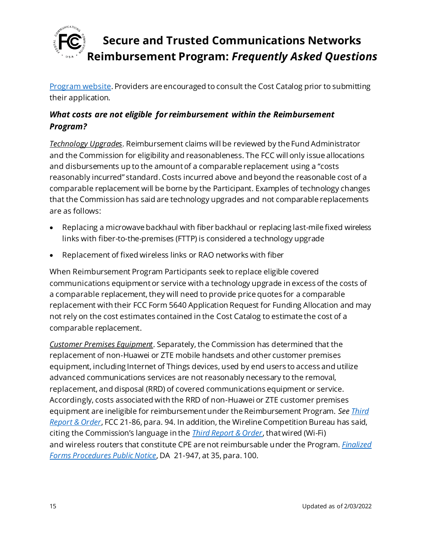

[Program website](https://www.fcc.gov/supplychain). Providers are encouraged to consult the Cost Catalog prior to submitting their application.

## *What costs are not eligible for reimbursement within the Reimbursement Program?*

*Technology Upgrades*. Reimbursement claims will be reviewed by the Fund Administrator and the Commission for eligibility and reasonableness. The FCC will only issue allocations and disbursements up to the amount of a comparable replacement using a "costs reasonably incurred" standard. Costs incurred above and beyond the reasonable cost of a comparable replacement will be borne by the Participant. Examples of technology changes that the Commission has said are technology upgrades and not comparable replacements are as follows:

- Replacing a microwave backhaul with fiber backhaul or replacing last-mile fixed wireless links with fiber-to-the-premises (FTTP) is considered a technology upgrade
- Replacement of fixed wireless links or RAO networks with fiber

When Reimbursement Program Participants seek to replace eligible covered communications equipment or service with a technology upgrade in excess of the costs of a comparable replacement, they will need to provide price quotes for a comparable replacement with their FCC Form 5640 Application Request for Funding Allocation and may not rely on the cost estimates contained in the Cost Catalog to estimate the cost of a comparable replacement.

*Customer Premises Equipment*. Separately, the Commission has determined that the replacement of non-Huawei or ZTE mobile handsets and other customer premises equipment, including Internet of Things devices, used by end users to access and utilize advanced communications services are not reasonably necessary to the removal, replacement, and disposal (RRD) of covered communications equipment or service. Accordingly, costs associated with the RRD of non-Huawei or ZTE customer premises equipment are ineligible for reimbursement under the Reimbursement Program. *Se[e Third](https://www.fcc.gov/document/fcc-acts-protect-national-security-communications-supply-chain-0)  [Report & Order](https://www.fcc.gov/document/fcc-acts-protect-national-security-communications-supply-chain-0)*, FCC 21-86, para. 94. In addition, the Wireline Competition Bureau has said, citing the Commission's language in the *[Third Report & Order](https://www.fcc.gov/document/fcc-acts-protect-national-security-communications-supply-chain-0)*, that wired (Wi-Fi) and wireless routers that constitute CPE are not reimbursable under the Program. *[Finalized](https://www.fcc.gov/document/fcc-announces-final-supply-chain-reimbursement-program-procedures)  [Forms Procedures Public Notice](https://www.fcc.gov/document/fcc-announces-final-supply-chain-reimbursement-program-procedures)*, DA 21-947, at 35, para. 100.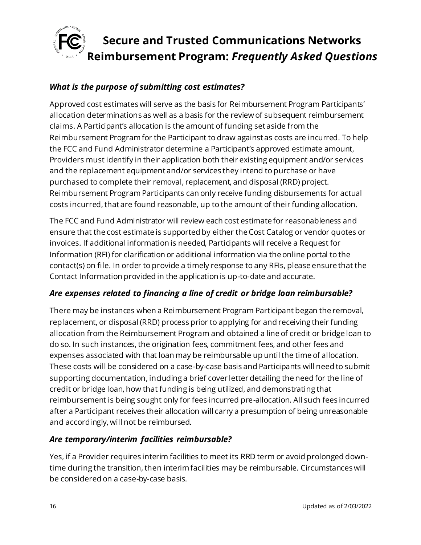

#### *What is the purpose of submitting cost estimates?*

Approved cost estimates will serve as the basis for Reimbursement Program Participants' allocation determinations as well as a basis for the review of subsequent reimbursement claims. A Participant's allocation is the amount of funding set aside from the Reimbursement Program for the Participant to draw against as costs are incurred. To help the FCC and Fund Administrator determine a Participant's approved estimate amount, Providers must identify in their application both their existing equipment and/or services and the replacement equipment and/or services they intend to purchase or have purchased to complete their removal, replacement, and disposal (RRD) project. Reimbursement Program Participants can only receive funding disbursements for actual costs incurred, that are found reasonable, up to the amount of their funding allocation.

The FCC and Fund Administrator will review each cost estimate for reasonableness and ensure that the cost estimate is supported by either the Cost Catalog or vendor quotes or invoices. If additional information is needed, Participants will receive a Request for Information (RFI) for clarification or additional information via the online portal to the contact(s) on file. In order to provide a timely response to any RFIs, please ensure that the Contact Information provided in the application is up-to-date and accurate.

#### *Are expenses related to financing a line of credit or bridge loan reimbursable?*

There may be instances when a Reimbursement Program Participant began the removal, replacement, or disposal (RRD) process prior to applying for and receiving their funding allocation from the Reimbursement Program and obtained a line of credit or bridge loan to do so. In such instances, the origination fees, commitment fees, and other fees and expenses associated with that loan may be reimbursable up until the time of allocation. These costs will be considered on a case-by-case basis and Participants will need to submit supporting documentation, including a brief cover letter detailing the need for the line of credit or bridge loan, how that funding is being utilized, and demonstrating that reimbursement is being sought only for fees incurred pre-allocation. All such fees incurred after a Participant receives their allocation will carry a presumption of being unreasonable and accordingly, will not be reimbursed.

#### *Are temporary/interim facilities reimbursable?*

Yes, if a Provider requires interim facilities to meet its RRD term or avoid prolonged downtime during the transition, then interim facilities may be reimbursable. Circumstances will be considered on a case-by-case basis.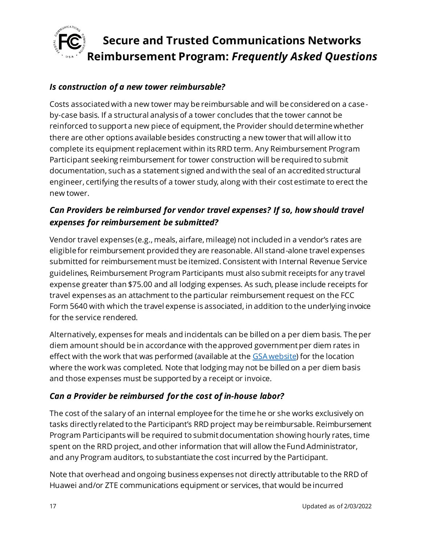

#### *Is construction of a new tower reimbursable?*

Costs associated with a new tower may be reimbursable and will be considered on a caseby-case basis. If a structural analysis of a tower concludes that the tower cannot be reinforced to support a new piece of equipment, the Provider should determine whether there are other options available besides constructing a new tower that will allow it to complete its equipment replacement within its RRD term. Any Reimbursement Program Participant seeking reimbursement for tower construction will be required to submit documentation, such as a statement signed and with the seal of an accredited structural engineer, certifying the results of a tower study, along with their cost estimate to erect the new tower.

### *Can Providers be reimbursed for vendor travel expenses? If so, how should travel expenses for reimbursement be submitted?*

Vendor travel expenses (e.g., meals, airfare, mileage) not included in a vendor's rates are eligible for reimbursement provided they are reasonable. All stand-alone travel expenses submitted for reimbursement must be itemized. Consistent with Internal Revenue Service guidelines, Reimbursement Program Participants must also submit receipts for any travel expense greater than \$75.00 and all lodging expenses. As such, please include receipts for travel expenses as an attachment to the particular reimbursement request on the FCC Form 5640 with which the travel expense is associated, in addition to the underlying invoice for the service rendered.

Alternatively, expenses for meals and incidentals can be billed on a per diem basis. The per diem amount should be in accordance with the approved government per diem rates in effect with the work that was performed (available at th[e GSA website\)](https://www.gsa.gov/travel/plan-book/per-diem-rates) for the location where the work was completed. Note that lodging may not be billed on a per diem basis and those expenses must be supported by a receipt or invoice.

### *Can a Provider be reimbursed for the cost of in-house labor?*

The cost of the salary of an internal employee for the time he or she works exclusively on tasks directly related to the Participant's RRD project may be reimbursable. Reimbursement Program Participants will be required to submit documentation showing hourly rates, time spent on the RRD project, and other information that will allow the Fund Administrator, and any Program auditors, to substantiate the cost incurred by the Participant.

Note that overhead and ongoing business expenses not directly attributable to the RRD of Huawei and/or ZTE communications equipment or services, that would be incurred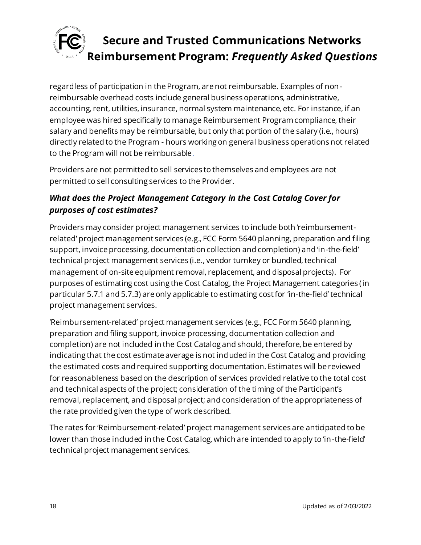

regardless of participation in the Program, are not reimbursable. Examples of nonreimbursable overhead costs include general business operations, administrative, accounting, rent, utilities, insurance, normal system maintenance, etc. For instance, if an employee was hired specifically to manage Reimbursement Program compliance, their salary and benefits may be reimbursable, but only that portion of the salary (i.e., hours) directly related to the Program - hours working on general business operations not related to the Program will not be reimbursable.

Providers are not permitted to sell services to themselves and employees are not permitted to sell consulting services to the Provider.

### *What does the Project Management Category in the Cost Catalog Cover for purposes of cost estimates?*

Providers may consider project management services to include both 'reimbursementrelated' project management services (e.g., FCC Form 5640 planning, preparation and filing support, invoice processing, documentation collection and completion) and 'in-the-field' technical project management services (i.e., vendor turnkey or bundled, technical management of on-site equipment removal, replacement, and disposal projects). For purposes of estimating cost using the Cost Catalog, the Project Management categories (in particular 5.7.1 and 5.7.3) are only applicable to estimating cost for 'in-the-field' technical project management services.

'Reimbursement-related' project management services (e.g., FCC Form 5640 planning, preparation and filing support, invoice processing, documentation collection and completion) are not included in the Cost Catalog and should, therefore, be entered by indicating that the cost estimate average is not included in the Cost Catalog and providing the estimated costs and required supporting documentation. Estimates will be reviewed for reasonableness based on the description of services provided relative to the total cost and technical aspects of the project; consideration of the timing of the Participant's removal, replacement, and disposal project; and consideration of the appropriateness of the rate provided given the type of work described.

The rates for 'Reimbursement-related' project management services are anticipated to be lower than those included in the Cost Catalog, which are intended to apply to 'in-the-field' technical project management services.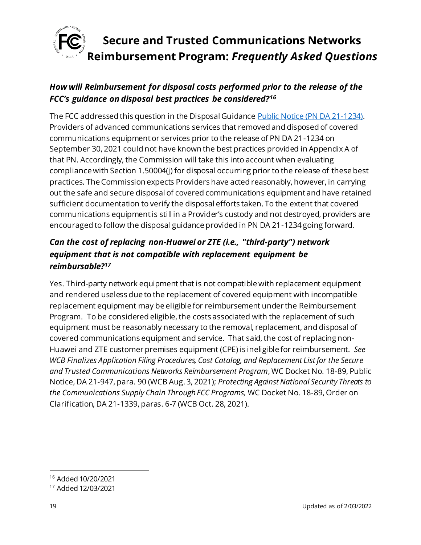

## *How will Reimbursement for disposal costs performed prior to the release of the FCC's guidance on disposal best practices be considered?<sup>16</sup>*

The FCC addressed this question in the Disposal Guidanc[e Public Notice \(PN DA 21-1234\)](https://docs.fcc.gov/public/attachments/DA-21-1234A1.pdf). Providers of advanced communications services that removed and disposed of covered communications equipment or services prior to the release of PN DA 21-1234 on September 30, 2021 could not have known the best practices provided in Appendix A of that PN. Accordingly, the Commission will take this into account when evaluating compliance with Section 1.50004(j) for disposal occurring prior to the release of these best practices. The Commission expects Providers have acted reasonably, however, in carrying out the safe and secure disposal of covered communications equipment and have retained sufficient documentation to verify the disposal efforts taken. To the extent that covered communications equipment is still in a Provider's custody and not destroyed, providers are encouraged to follow the disposal guidance provided in PN DA 21-1234 going forward.

## *Can the cost of replacing non-Huawei or ZTE (i.e., "third-party") network equipment that is not compatible with replacement equipment be reimbursable?<sup>17</sup>*

Yes. Third-party network equipment that is not compatible with replacement equipment and rendered useless due to the replacement of covered equipment with incompatible replacement equipment may be eligible for reimbursement under the Reimbursement Program. To be considered eligible, the costs associated with the replacement of such equipment must be reasonably necessary to the removal, replacement, and disposal of covered communications equipment and service. That said, the cost of replacing non-Huawei and ZTE customer premises equipment (CPE) is ineligible for reimbursement. *See WCB Finalizes Application Filing Procedures, Cost Catalog, and Replacement List for the Secure and Trusted Communications Networks Reimbursement Program*, WC Docket No. 18-89, Public Notice, DA 21-947, para. 90 (WCB Aug. 3, 2021); *Protecting Against National Security Threats to the Communications Supply Chain Through FCC Programs,* WC Docket No. 18-89, Order on Clarification, DA 21-1339, paras. 6-7 (WCB Oct. 28, 2021).

<sup>16</sup> Added 10/20/2021

<sup>17</sup> Added 12/03/2021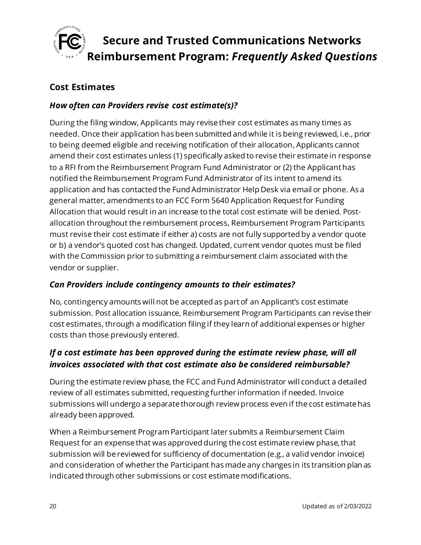

### <span id="page-19-0"></span>**Cost Estimates**

#### *How often can Providers revise cost estimate(s)?*

During the filing window, Applicants may revise their cost estimates as many times as needed. Once their application has been submitted and while it is being reviewed, i.e., prior to being deemed eligible and receiving notification of their allocation, Applicants cannot amend their cost estimates unless (1) specifically asked to revise their estimate in response to a RFI from the Reimbursement Program Fund Administrator or (2) the Applicant has notified the Reimbursement Program Fund Administrator of its intent to amend its application and has contacted the Fund Administrator Help Desk via email or phone. As a general matter, amendments to an FCC Form 5640 Application Request for Funding Allocation that would result in an increase to the total cost estimate will be denied. Postallocation throughout the reimbursement process, Reimbursement Program Participants must revise their cost estimate if either a) costs are not fully supported by a vendor quote or b) a vendor's quoted cost has changed. Updated, current vendor quotes must be filed with the Commission prior to submitting a reimbursement claim associated with the vendor or supplier.

#### *Can Providers include contingency amounts to their estimates?*

No, contingency amounts will not be accepted as part of an Applicant's cost estimate submission. Post allocation issuance, Reimbursement Program Participants can revise their cost estimates, through a modification filing if they learn of additional expenses or higher costs than those previously entered.

### *If a cost estimate has been approved during the estimate review phase, will all invoices associated with that cost estimate also be considered reimbursable?*

During the estimate review phase, the FCC and Fund Administrator will conduct a detailed review of all estimates submitted, requesting further information if needed. Invoice submissions will undergo a separate thorough review process even if the cost estimate has already been approved.

When a Reimbursement Program Participant later submits a Reimbursement Claim Request for an expense that was approved during the cost estimate review phase, that submission will be reviewed for sufficiency of documentation (e.g., a valid vendor invoice) and consideration of whether the Participant has made any changes in its transition plan as indicated through other submissions or cost estimate modifications.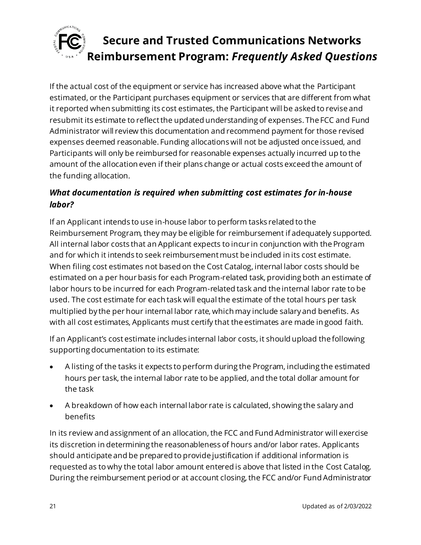

If the actual cost of the equipment or service has increased above what the Participant estimated, or the Participant purchases equipment or services that are different from what it reported when submitting its cost estimates, the Participant will be asked to revise and resubmit its estimate to reflect the updated understanding of expenses. The FCC and Fund Administrator will review this documentation and recommend payment for those revised expenses deemed reasonable. Funding allocations will not be adjusted once issued, and Participants will only be reimbursed for reasonable expenses actually incurred up to the amount of the allocation even if their plans change or actual costs exceed the amount of the funding allocation.

## *What documentation is required when submitting cost estimates for in-house labor?*

If an Applicant intends to use in-house labor to perform tasks related to the Reimbursement Program, they may be eligible for reimbursement if adequately supported. All internal labor costs that an Applicant expects to incur in conjunction with the Program and for which it intends to seek reimbursement must be included in its cost estimate. When filing cost estimates not based on the Cost Catalog, internal labor costs should be estimated on a per hour basis for each Program-related task, providing both an estimate of labor hours to be incurred for each Program-related task and the internal labor rate to be used. The cost estimate for each task will equal the estimate of the total hours per task multiplied by the per hour internal labor rate, which may include salary and benefits. As with all cost estimates, Applicants must certify that the estimates are made in good faith.

If an Applicant's cost estimate includes internal labor costs, it should upload the following supporting documentation to its estimate:

- A listing of the tasks it expects to perform during the Program, including the estimated hours per task, the internal labor rate to be applied, and the total dollar amount for the task
- A breakdown of how each internal labor rate is calculated, showing the salary and benefits

In its review and assignment of an allocation, the FCC and Fund Administrator will exercise its discretion in determining the reasonableness of hours and/or labor rates. Applicants should anticipate and be prepared to provide justification if additional information is requested as to why the total labor amount entered is above that listed in the Cost Catalog. During the reimbursement period or at account closing, the FCC and/or Fund Administrator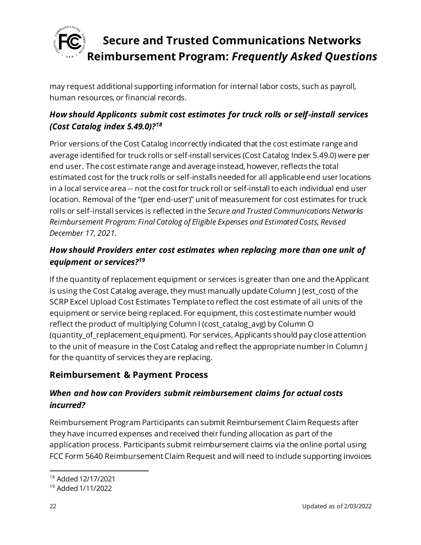

may request additional supporting information for internal labor costs, such as payroll, human resources, or financial records.

## *How should Applicants submit cost estimates for truck rolls or self-install services (Cost Catalog index 5.49.0)?<sup>18</sup>*

Prior versions of the Cost Catalog incorrectly indicated that the cost estimate range and average identified for truck rolls or self-install services (Cost Catalog Index 5.49.0) were per end user. The cost estimate range and average instead, however, reflects the total estimated cost for the truck rolls or self-installs needed for all applicable end user locations in a local service area -- not the cost for truck roll or self-install to each individual end user location. Removal of the "(per end-user)" unit of measurement for cost estimates for truck rolls or self-install services is reflected in the *Secure and Trusted Communications Networks Reimbursement Program: Final Catalog of Eligible Expenses and Estimated Costs, Revised December 17, 2021.*

### *How should Providers enter cost estimates when replacing more than one unit of equipment or services? 19*

If the quantity of replacement equipment or services is greater than one and the Applicant is using the Cost Catalog average, they must manually update Column J (est\_cost) of the SCRP Excel Upload Cost Estimates Template to reflect the cost estimate of all units of the equipment or service being replaced. For equipment, this cost estimate number would reflect the product of multiplying Column I (cost\_catalog\_avg) by Column O (quantity\_of\_replacement\_equipment). For services, Applicants should pay close attention to the unit of measure in the Cost Catalog and reflect the appropriate number in Column J for the quantity of services they are replacing.

## <span id="page-21-0"></span>**Reimbursement & Payment Process**

### *When and how can Providers submit reimbursement claims for actual costs incurred?*

Reimbursement Program Participants can submit Reimbursement Claim Requests after they have incurred expenses and received their funding allocation as part of the application process. Participants submit reimbursement claims via the online portal using FCC Form 5640 Reimbursement Claim Request and will need to include supporting invoices

<sup>18</sup> Added 12/17/2021

<sup>19</sup> Added 1/11/2022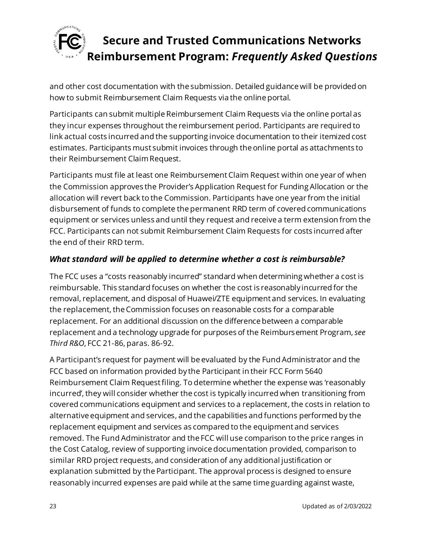

and other cost documentation with the submission. Detailed guidance will be provided on how to submit Reimbursement Claim Requests via the online portal.

Participants can submit multiple Reimbursement Claim Requests via the online portal as they incur expenses throughout the reimbursement period. Participants are required to link actual costs incurred and the supporting invoice documentation to their itemized cost estimates. Participants must submit invoices through the online portal as attachments to their Reimbursement Claim Request.

Participants must file at least one Reimbursement Claim Request within one year of when the Commission approves the Provider's Application Request for Funding Allocation or the allocation will revert back to the Commission. Participants have one year from the initial disbursement of funds to complete the permanent RRD term of covered communications equipment or services unless and until they request and receive a term extension from the FCC. Participants can not submit Reimbursement Claim Requests for costs incurred after the end of their RRD term.

### *What standard will be applied to determine whether a cost is reimbursable?*

The FCC uses a "costs reasonably incurred" standard when determining whether a cost is reimbursable. This standard focuses on whether the cost is reasonably incurred for the removal, replacement, and disposal of Huawei/ZTE equipment and services. In evaluating the replacement, the Commission focuses on reasonable costs for a comparable replacement. For an additional discussion on the difference between a comparable replacement and a technology upgrade for purposes of the Reimbursement Program, *see Third R&O*, FCC 21-86, paras. 86-92.

A Participant's request for payment will be evaluated by the Fund Administrator and the FCC based on information provided by the Participant in their FCC Form 5640 Reimbursement Claim Request filing. To determine whether the expense was 'reasonably incurred', they will consider whether the cost is typically incurred when transitioning from covered communications equipment and services to a replacement, the costs in relation to alternative equipment and services, and the capabilities and functions performed by the replacement equipment and services as compared to the equipment and services removed. The Fund Administrator and the FCC will use comparison to the price ranges in the Cost Catalog, review of supporting invoice documentation provided, comparison to similar RRD project requests, and consideration of any additional justification or explanation submitted by the Participant. The approval process is designed to ensure reasonably incurred expenses are paid while at the same time guarding against waste,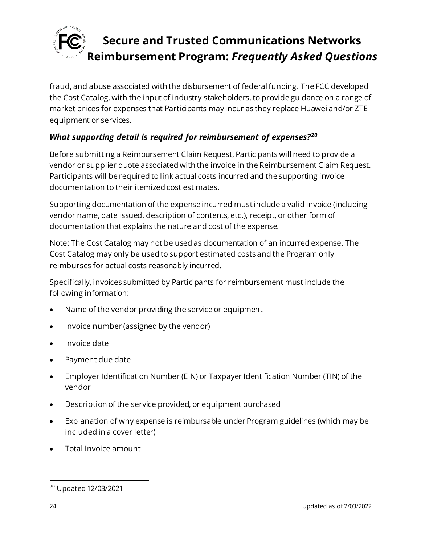

fraud, and abuse associated with the disbursement of federal funding. The FCC developed the Cost Catalog, with the input of industry stakeholders, to provide guidance on a range of market prices for expenses that Participants may incur as they replace Huawei and/or ZTE equipment or services.

### *What supporting detail is required for reimbursement of expenses?<sup>20</sup>*

Before submitting a Reimbursement Claim Request, Participants will need to provide a vendor or supplier quote associated with the invoice in the Reimbursement Claim Request. Participants will be required to link actual costs incurred and the supporting invoice documentation to their itemized cost estimates.

Supporting documentation of the expense incurred mustinclude a valid invoice (including vendor name, date issued, description of contents, etc.), receipt, or other form of documentation that explains the nature and cost of the expense.

Note: The Cost Catalog may not be used as documentation of an incurred expense. The Cost Catalog may only be used to support estimated costs and the Program only reimburses for actual costs reasonably incurred.

Specifically, invoices submitted by Participants for reimbursement must include the following information:

- Name of the vendor providing the service or equipment
- Invoice number (assigned by the vendor)
- Invoice date
- Payment due date
- Employer Identification Number (EIN) or Taxpayer Identification Number (TIN) of the vendor
- Description of the service provided, or equipment purchased
- Explanation of why expense is reimbursable under Program guidelines (which may be included in a cover letter)
- Total Invoice amount

<sup>20</sup> Updated 12/03/2021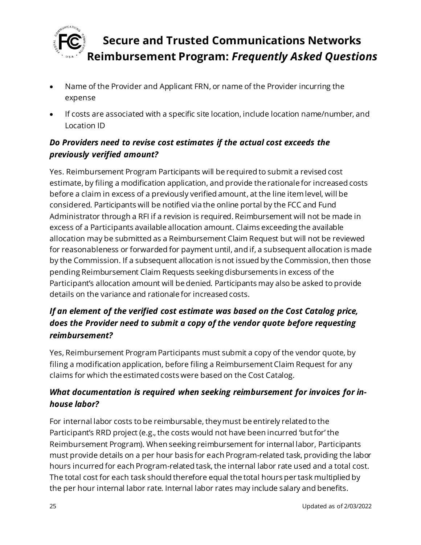

- Name of the Provider and Applicant FRN, or name of the Provider incurring the expense
- If costs are associated with a specific site location, include location name/number, and Location ID

## *Do Providers need to revise cost estimates if the actual cost exceeds the previously verified amount?*

Yes. Reimbursement Program Participants will be required to submit a revised cost estimate, by filing a modification application, and provide the rationale for increased costs before a claim in excess of a previously verified amount, at the line item level, will be considered. Participants will be notified via the online portal by the FCC and Fund Administrator through a RFI if a revision is required. Reimbursement will not be made in excess of a Participants available allocation amount. Claims exceeding the available allocation may be submitted as a Reimbursement Claim Request but will not be reviewed for reasonableness or forwarded for payment until, and if, a subsequent allocation is made by the Commission. If a subsequent allocation is not issued by the Commission, then those pending Reimbursement Claim Requests seeking disbursements in excess of the Participant's allocation amount will be denied. Participants may also be asked to provide details on the variance and rationale for increased costs.

## *If an element of the verified cost estimate was based on the Cost Catalog price, does the Provider need to submit a copy of the vendor quote before requesting reimbursement?*

Yes, Reimbursement Program Participants must submit a copy of the vendor quote, by filing a modification application, before filing a Reimbursement Claim Request for any claims for which the estimated costs were based on the Cost Catalog.

## *What documentation is required when seeking reimbursement for invoices for inhouse labor?*

For internal labor costs to be reimbursable, they must be entirely related to the Participant's RRD project (e.g., the costs would not have been incurred 'but for' the Reimbursement Program). When seeking reimbursement for internal labor, Participants must provide details on a per hour basis for each Program-related task, providing the labor hours incurred for each Program-related task, the internal labor rate used and a total cost. The total cost for each task should therefore equal the total hours per task multiplied by the per hour internal labor rate. Internal labor rates may include salary and benefits.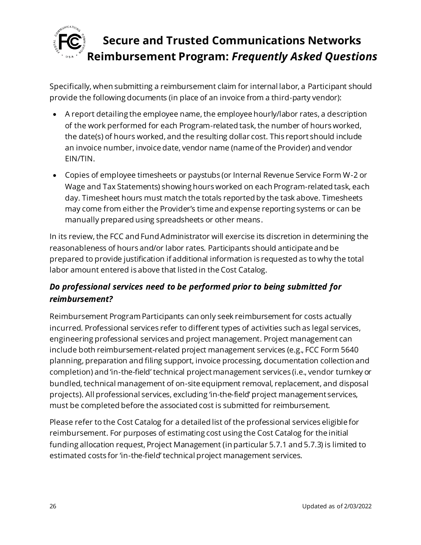

Specifically, when submitting a reimbursement claim for internal labor, a Participant should provide the following documents (in place of an invoice from a third-party vendor):

- A report detailing the employee name, the employee hourly/labor rates, a description of the work performed for each Program-related task, the number of hours worked, the date(s) of hours worked, and the resulting dollar cost. This report should include an invoice number, invoice date, vendor name (name of the Provider) and vendor EIN/TIN.
- Copies of employee timesheets or paystubs (or Internal Revenue Service Form W-2 or Wage and Tax Statements) showing hours worked on each Program-related task, each day. Timesheet hours must match the totals reported by the task above. Timesheets may come from either the Provider's time and expense reporting systems or can be manually prepared using spreadsheets or other means.

In its review, the FCC and Fund Administrator will exercise its discretion in determining the reasonableness of hours and/or labor rates. Participants should anticipate and be prepared to provide justification if additional information is requested as to why the total labor amount entered is above that listed in the Cost Catalog.

## *Do professional services need to be performed prior to being submitted for reimbursement?*

Reimbursement Program Participants can only seek reimbursement for costs actually incurred. Professional services refer to different types of activities such as legal services, engineering professional services and project management. Project management can include both reimbursement-related project management services (e.g., FCC Form 5640 planning, preparation and filing support, invoice processing, documentation collection and completion) and 'in-the-field' technical project management services (i.e., vendor turnkey or bundled, technical management of on-site equipment removal, replacement, and disposal projects). All professional services, excluding 'in-the-field' project management services, must be completed before the associated cost is submitted for reimbursement.

Please refer to the Cost Catalog for a detailed list of the professional services eligible for reimbursement. For purposes of estimating cost using the Cost Catalog for the initial funding allocation request, Project Management (in particular 5.7.1 and 5.7.3) is limited to estimated costs for 'in-the-field' technical project management services.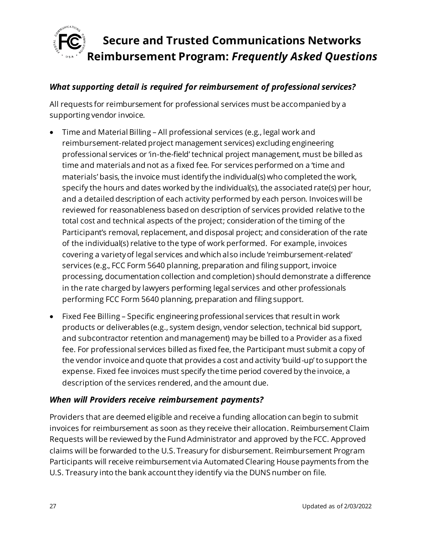

#### *What supporting detail is required for reimbursement of professional services?*

All requests for reimbursement for professional services must be accompanied by a supporting vendor invoice.

- Time and Material Billing All professional services (e.g., legal work and reimbursement-related project management services) excluding engineering professional services or 'in-the-field' technical project management, must be billed as time and materials and not as a fixed fee. For services performed on a 'time and materials' basis, the invoice must identify the individual(s) who completed the work, specify the hours and dates worked by the individual(s), the associated rate(s) per hour, and a detailed description of each activity performed by each person. Invoices will be reviewed for reasonableness based on description of services provided relative to the total cost and technical aspects of the project; consideration of the timing of the Participant's removal, replacement, and disposal project; and consideration of the rate of the individual(s) relative to the type of work performed. For example, invoices covering a variety of legal services and which also include 'reimbursement-related' services (e.g., FCC Form 5640 planning, preparation and filing support, invoice processing, documentation collection and completion) should demonstrate a difference in the rate charged by lawyers performing legal services and other professionals performing FCC Form 5640 planning, preparation and filing support.
- Fixed Fee Billing Specific engineering professional services that result in work products or deliverables (e.g., system design, vendor selection, technical bid support, and subcontractor retention and management) may be billed to a Provider as a fixed fee. For professional services billed as fixed fee, the Participant must submit a copy of the vendor invoice and quote that provides a cost and activity 'build-up' to support the expense. Fixed fee invoices must specify the time period covered by the invoice, a description of the services rendered, and the amount due.

#### *When will Providers receive reimbursement payments?*

Providers that are deemed eligible and receive a funding allocation can begin to submit invoices for reimbursement as soon as they receive their allocation. Reimbursement Claim Requests will be reviewed by the Fund Administrator and approved by the FCC. Approved claims will be forwarded to the U.S. Treasury for disbursement. Reimbursement Program Participants will receive reimbursement via Automated Clearing House payments from the U.S. Treasury into the bank account they identify via the DUNS number on file.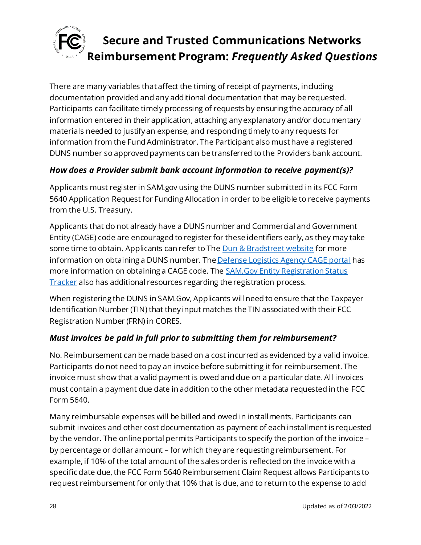

There are many variables that affect the timing of receipt of payments, including documentation provided and any additional documentation that may be requested. Participants can facilitate timely processing of requests by ensuring the accuracy of all information entered in their application, attaching any explanatory and/or documentary materials needed to justify an expense, and responding timely to any requests for information from the Fund Administrator. The Participant also must have a registered DUNS number so approved payments can be transferred to the Providers bank account.

### *How does a Provider submit bank account information to receive payment(s)?*

Applicants must register in SAM.gov using the DUNS number submitted in its FCC Form 5640 Application Request for Funding Allocation in order to be eligible to receive payments from the U.S. Treasury.

Applicants that do not already have a DUNS number and Commercial and Government Entity (CAGE) code are encouraged to register for these identifiers early, as they may take some time to obtain. Applicants can refer to Th[e Dun & Bradstreet website](https://fedgov.dnb.com/webform/) for more information on obtaining a DUNS number. Th[e Defense Logistics Agency CAGE portal](https://cage.dla.mil/) has more information on obtaining a CAGE code. The **SAM.Gov Entity Registration Status** [Tracker](https://sam.gov/content/status-tracker) also has additional resources regarding the registration process.

When registering the DUNS in SAM.Gov, Applicants will need to ensure that the Taxpayer Identification Number (TIN) that they input matches the TIN associated with their FCC Registration Number (FRN) in CORES.

### *Must invoices be paid in full prior to submitting them for reimbursement?*

No. Reimbursement can be made based on a cost incurred as evidenced by a valid invoice. Participants do not need to pay an invoice before submitting it for reimbursement. The invoice must show that a valid payment is owed and due on a particular date. All invoices must contain a payment due date in addition to the other metadata requested in the FCC Form 5640.

Many reimbursable expenses will be billed and owed in installments. Participants can submit invoices and other cost documentation as payment of each installment is requested by the vendor. The online portal permits Participants to specify the portion of the invoice – by percentage or dollar amount – for which they are requesting reimbursement. For example, if 10% of the total amount of the sales order is reflected on the invoice with a specific date due, the FCC Form 5640 Reimbursement Claim Request allows Participants to request reimbursement for only that 10% that is due, and to return to the expense to add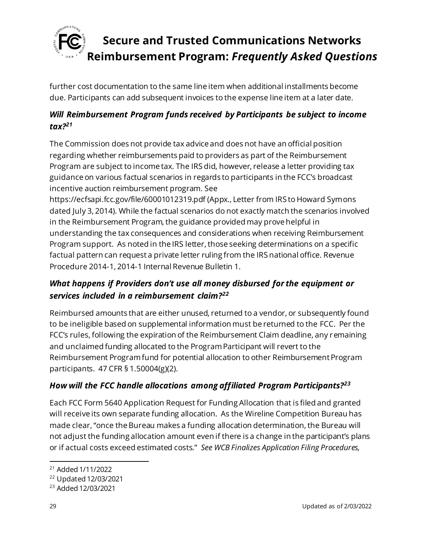

further cost documentation to the same line item when additional installments become due. Participants can add subsequent invoices to the expense line item at a later date.

## *Will Reimbursement Program funds received by Participants be subject to income tax?<sup>21</sup>*

The Commission does not provide tax advice and does not have an official position regarding whether reimbursements paid to providers as part of the Reimbursement Program are subject to income tax. The IRS did, however, release a letter providing tax guidance on various factual scenarios in regards to participants in the FCC's broadcast incentive auction reimbursement program. See

https://ecfsapi.fcc.gov/file/60001012319.pdf (Appx., Letter from IRS to Howard Symons dated July 3, 2014). While the factual scenarios do not exactly match the scenarios involved in the Reimbursement Program, the guidance provided may prove helpful in understanding the tax consequences and considerations when receiving Reimbursement Program support. As noted in the IRS letter, those seeking determinations on a specific factual pattern can request a private letter ruling from the IRS national office. Revenue Procedure 2014-1, 2014-1 Internal Revenue Bulletin 1.

## *What happens if Providers don't use all money disbursed for the equipment or services included in a reimbursement claim?<sup>22</sup>*

Reimbursed amounts that are either unused, returned to a vendor, or subsequently found to be ineligible based on supplemental information must be returned to the FCC. Per the FCC's rules, following the expiration of the Reimbursement Claim deadline, any remaining and unclaimed funding allocated to the Program Participant will revert to the Reimbursement Program fund for potential allocation to other Reimbursement Program participants. 47 CFR § 1.50004(g)(2).

## *How will the FCC handle allocations among affiliated Program Participants?<sup>23</sup>*

Each FCC Form 5640 Application Request for Funding Allocation that is filed and granted will receive its own separate funding allocation. As the Wireline Competition Bureau has made clear, "once the Bureau makes a funding allocation determination, the Bureau will not adjust the funding allocation amount even if there is a change in the participant's plans or if actual costs exceed estimated costs." *See WCB Finalizes Application Filing Procedures,* 

<sup>21</sup> Added 1/11/2022

<sup>22</sup> Updated 12/03/2021

<sup>23</sup> Added 12/03/2021